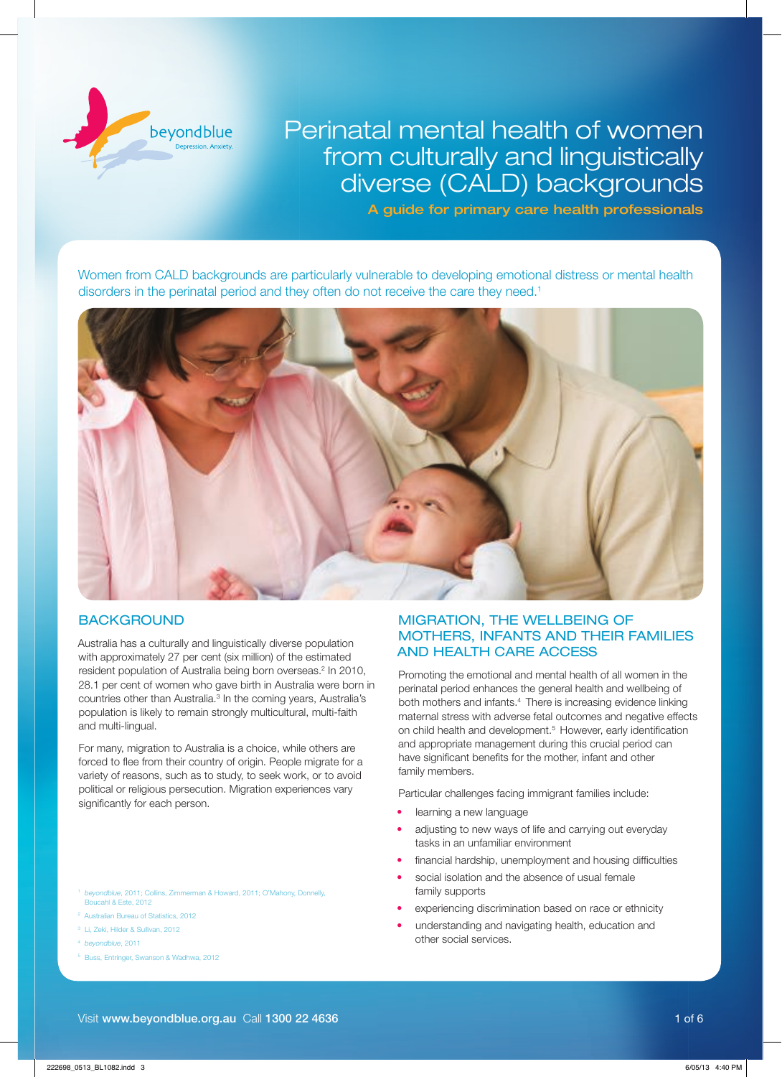

# Perinatal mental health of women from culturally and linguistically diverse (CALD) backgrounds

A guide for primary care health professionals

Women from CALD backgrounds are particularly vulnerable to developing emotional distress or mental health disorders in the perinatal period and they often do not receive the care they need.<sup>1</sup>



# **BACKGROUND**

Australia has a culturally and linguistically diverse population with approximately 27 per cent (six million) of the estimated resident population of Australia being born overseas.<sup>2</sup> In 2010, 28.1 per cent of women who gave birth in Australia were born in countries other than Australia.<sup>3</sup> In the coming years, Australia's population is likely to remain strongly multicultural, multi-faith and multi-lingual.

For many, migration to Australia is a choice, while others are forced to flee from their country of origin. People migrate for a variety of reasons, such as to study, to seek work, or to avoid political or religious persecution. Migration experiences vary significantly for each person.

- beyondblue, 2011; Collins, Zimmerman & Howard, 2011; O'Mahony, Donnelly, Boucahl & Este, 2012
- <sup>2</sup> Australian Bureau of Statistics, 2012
- <sup>3</sup> Li, Zeki, Hilder & Sullivan, 2012
- <sup>4</sup> *beyondblue*, 2011
- <sup>5</sup> Buss, Entringer, Swanson & Wadhwa, 2012

# MIGRATION, THE WELLBEING OF MOTHERS, INFANTS AND THEIR FAMILIES AND HEALTH CARE ACCESS

Promoting the emotional and mental health of all women in the perinatal period enhances the general health and wellbeing of both mothers and infants.<sup>4</sup> There is increasing evidence linking maternal stress with adverse fetal outcomes and negative effects on child health and development.<sup>5</sup> However, early identification and appropriate management during this crucial period can have significant benefits for the mother, infant and other family members.

Particular challenges facing immigrant families include:

- learning a new language
- adiusting to new ways of life and carrying out everyday tasks in an unfamiliar environment
- financial hardship, unemployment and housing difficulties
- social isolation and the absence of usual female family supports
- experiencing discrimination based on race or ethnicity
- understanding and navigating health, education and other social services.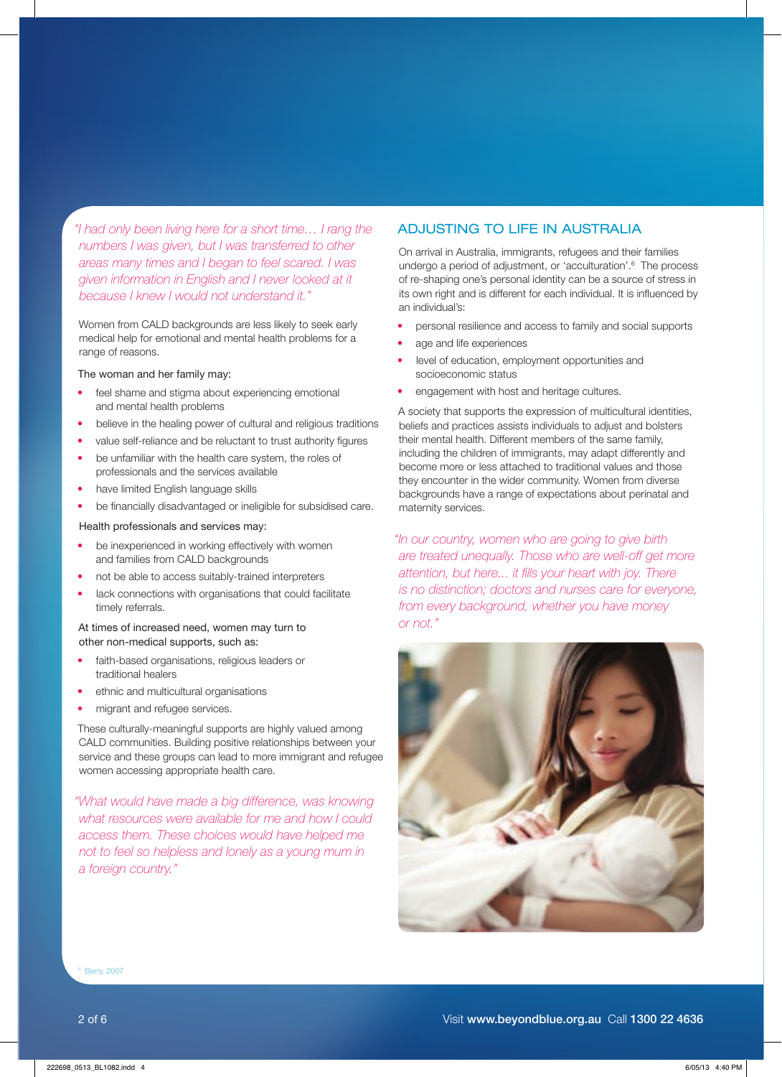*"I had only been living here for a short time… I rang the numbers I was given, but I was transferred to other areas many times and I began to feel scared. I was given information in English and I never looked at it because I knew I would not understand it."*

Women from CALD backgrounds are less likely to seek early medical help for emotional and mental health problems for a range of reasons.

#### The woman and her family may:

- feel shame and stigma about experiencing emotional and mental health problems
- believe in the healing power of cultural and religious traditions
- value self-reliance and be reluctant to trust authority figures
- be unfamiliar with the health care system, the roles of professionals and the services available
- have limited English language skills
- be financially disadvantaged or ineligible for subsidised care.

### Health professionals and services may:

- be inexperienced in working effectively with women and families from CALD backgrounds
- not be able to access suitably-trained interpreters
- lack connections with organisations that could facilitate timely referrals.

### At times of increased need, women may turn to other non-medical supports, such as:

- faith-based organisations, religious leaders or traditional healers
- ethnic and multicultural organisations
- migrant and refugee services.

These culturally-meaningful supports are highly valued among CALD communities. Building positive relationships between your service and these groups can lead to more immigrant and refugee women accessing appropriate health care.

*"What would have made a big difference, was knowing what resources were available for me and how I could access them. These choices would have helped me not to feel so helpless and lonely as a young mum in a foreign country."*

### ADJUSTING TO LIFE IN AUSTRALIA

On arrival in Australia, immigrants, refugees and their families undergo a period of adjustment, or 'acculturation'.<sup>6</sup> The process of re-shaping one's personal identity can be a source of stress in its own right and is different for each individual. It is influenced by an individual's: 

- personal resilience and access to family and social supports
- age and life experiences
- level of education, employment opportunities and socioeconomic status
- engagement with host and heritage cultures.

A society that supports the expression of multicultural identities, beliefs and practices assists individuals to adjust and bolsters their mental health. Different members of the same family, including the children of immigrants, may adapt differently and become more or less attached to traditional values and those they encounter in the wider community. Women from diverse backgrounds have a range of expectations about perinatal and maternity services.

*"In our country, women who are going to give birth are treated unequally. Those who are well-off get more attention, but here... it fills your heart with joy. There is no distinction; doctors and nurses care for everyone, from every background, whether you have money or not."*



6 Berry, 2007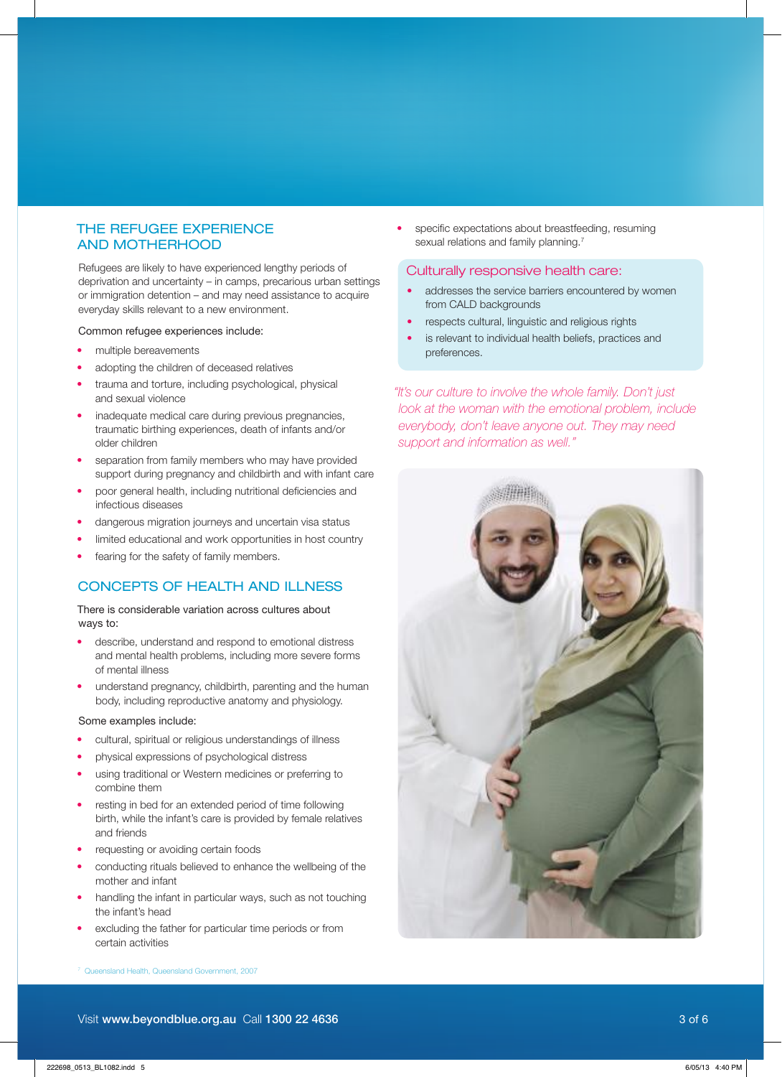### THE REFUGEE EXPERIENCE AND MOTHERHOOD

Refugees are likely to have experienced lengthy periods of deprivation and uncertainty  $-$  in camps, precarious urban settings or immigration detention – and may need assistance to acquire everyday skills relevant to a new environment.

#### Common refugee experiences include:

- multiple bereavements
- adopting the children of deceased relatives
- trauma and torture, including psychological, physical and sexual violence
- inadequate medical care during previous pregnancies, traumatic birthing experiences, death of infants and/or older children
- separation from family members who may have provided support during pregnancy and childbirth and with infant care
- poor general health, including nutritional deficiencies and infectious diseases
- dangerous migration iourneys and uncertain visa status
- limited educational and work opportunities in host country
- fearing for the safety of family members.

### CONCEPTS OF HEALTH AND ILLNESS

There is considerable variation across cultures about ways to:

- describe, understand and respond to emotional distress and mental health problems, including more severe forms of mental illness
- understand pregnancy, childbirth, parenting and the human body, including reproductive anatomy and physiology.

### Some examples include:

- cultural, spiritual or religious understandings of illness
- physical expressions of psychological distress
- using traditional or Western medicines or preferring to combine them
- resting in bed for an extended period of time following birth, while the infant's care is provided by female relatives and friends
- requesting or avoiding certain foods
- conducting rituals believed to enhance the wellbeing of the mother and infant
- handling the infant in particular ways, such as not touching the infant's head
- excluding the father for particular time periods or from certain activities

specific expectations about breastfeeding, resuming sexual relations and family planning.<sup>7</sup>

### Culturally responsive health care:

- addresses the service barriers encountered by women from CALD backgrounds
- respects cultural, linguistic and religious rights
- is relevant to individual health beliefs, practices and preferences.

*"It's our culture to involve the whole family. Don't just*  look at the woman with the emotional problem, include *everybody, don't leave anyone out. They may need support and information as well."*

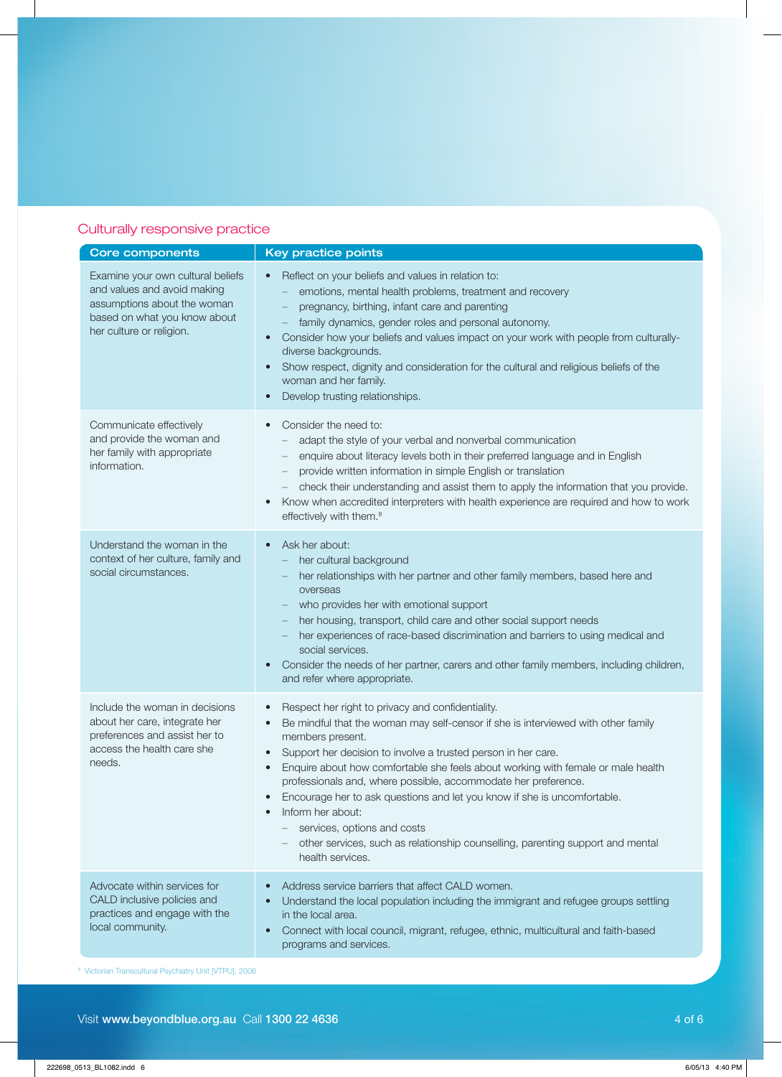# Culturally responsive practice

| <b>Core components</b>                                                                                                                                      | <b>Key practice points</b>                                                                                                                                                                                                                                                                                                                                                                                                                                                                                                                                                                                                                                     |
|-------------------------------------------------------------------------------------------------------------------------------------------------------------|----------------------------------------------------------------------------------------------------------------------------------------------------------------------------------------------------------------------------------------------------------------------------------------------------------------------------------------------------------------------------------------------------------------------------------------------------------------------------------------------------------------------------------------------------------------------------------------------------------------------------------------------------------------|
| Examine your own cultural beliefs<br>and values and avoid making<br>assumptions about the woman<br>based on what you know about<br>her culture or religion. | Reflect on your beliefs and values in relation to:<br>$\bullet$<br>emotions, mental health problems, treatment and recovery<br>pregnancy, birthing, infant care and parenting<br>family dynamics, gender roles and personal autonomy.<br>Consider how your beliefs and values impact on your work with people from culturally-<br>$\bullet$<br>diverse backgrounds.<br>Show respect, dignity and consideration for the cultural and religious beliefs of the<br>$\bullet$<br>woman and her family.<br>Develop trusting relationships.<br>$\bullet$                                                                                                             |
| Communicate effectively<br>and provide the woman and<br>her family with appropriate<br>information.                                                         | Consider the need to:<br>$\bullet$<br>adapt the style of your verbal and nonverbal communication<br>enquire about literacy levels both in their preferred language and in English<br>provide written information in simple English or translation<br>check their understanding and assist them to apply the information that you provide.<br>Know when accredited interpreters with health experience are required and how to work<br>effectively with them. <sup>8</sup>                                                                                                                                                                                      |
| Understand the woman in the<br>context of her culture, family and<br>social circumstances.                                                                  | Ask her about:<br>$\bullet$<br>her cultural background<br>her relationships with her partner and other family members, based here and<br>overseas<br>who provides her with emotional support<br>her housing, transport, child care and other social support needs<br>her experiences of race-based discrimination and barriers to using medical and<br>social services.<br>Consider the needs of her partner, carers and other family members, including children,<br>$\bullet$<br>and refer where appropriate.                                                                                                                                                |
| Include the woman in decisions<br>about her care, integrate her<br>preferences and assist her to<br>access the health care she<br>needs.                    | Respect her right to privacy and confidentiality.<br>$\bullet$<br>Be mindful that the woman may self-censor if she is interviewed with other family<br>$\bullet$<br>members present.<br>Support her decision to involve a trusted person in her care.<br>$\bullet$<br>Enquire about how comfortable she feels about working with female or male health<br>professionals and, where possible, accommodate her preference.<br>Encourage her to ask questions and let you know if she is uncomfortable.<br>Inform her about:<br>services, options and costs<br>other services, such as relationship counselling, parenting support and mental<br>health services. |
| Advocate within services for<br>CALD inclusive policies and<br>practices and engage with the<br>local community.                                            | Address service barriers that affect CALD women.<br>$\bullet$<br>Understand the local population including the immigrant and refugee groups settling<br>in the local area.<br>Connect with local council, migrant, refugee, ethnic, multicultural and faith-based<br>$\bullet$<br>programs and services.                                                                                                                                                                                                                                                                                                                                                       |

<sup>8</sup> Victorian Transcultural Psychiatry Unit [VTPU], 2006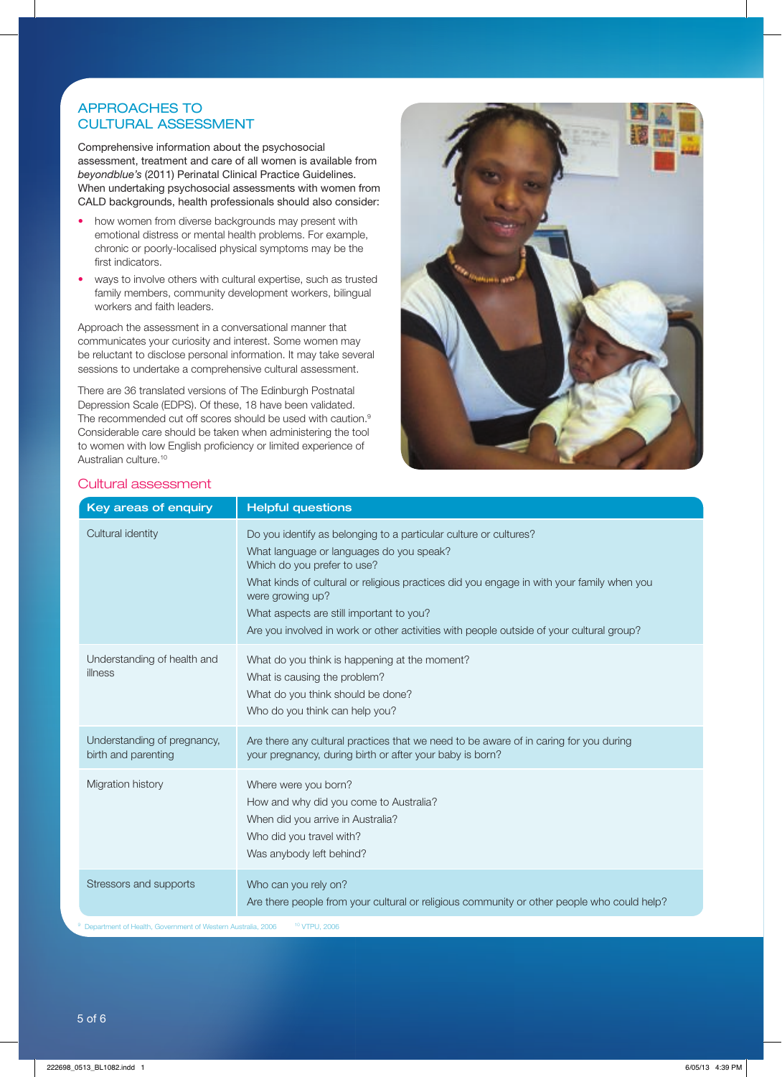# APPROACHES TO CULTURAL ASSESSMENT

Comprehensive information about the psychosocial assessment, treatment and care of all women is available from *beyondblue's* (2011) Perinatal Clinical Practice Guidelines. When undertaking psychosocial assessments with women from CALD backgrounds, health professionals should also consider:

- how women from diverse backgrounds may present with emotional distress or mental health problems. For example, chronic or poorly-localised physical symptoms may be the first indicators.
- ways to involve others with cultural expertise, such as trusted family members, community development workers, bilingual workers and faith leaders.

Approach the assessment in a conversational manner that communicates your curiosity and interest. Some women may be reluctant to disclose personal information. It may take several sessions to undertake a comprehensive cultural assessment.

There are 36 translated versions of The Edinburgh Postnatal Depression Scale (EDPS). Of these, 18 have been validated. The recommended cut off scores should be used with caution.<sup>9</sup> Considerable care should be taken when administering the tool to women with low English proficiency or limited experience of Australian culture.<sup>10</sup>



### Cultural assessment

| Key areas of enquiry                                                     | <b>Helpful questions</b>                                                                                                                                                                                                                                                                                                                                                                              |
|--------------------------------------------------------------------------|-------------------------------------------------------------------------------------------------------------------------------------------------------------------------------------------------------------------------------------------------------------------------------------------------------------------------------------------------------------------------------------------------------|
| Cultural identity                                                        | Do you identify as belonging to a particular culture or cultures?<br>What language or languages do you speak?<br>Which do you prefer to use?<br>What kinds of cultural or religious practices did you engage in with your family when you<br>were growing up?<br>What aspects are still important to you?<br>Are you involved in work or other activities with people outside of your cultural group? |
| Understanding of health and<br>illness                                   | What do you think is happening at the moment?<br>What is causing the problem?<br>What do you think should be done?<br>Who do you think can help you?                                                                                                                                                                                                                                                  |
| Understanding of pregnancy,<br>birth and parenting                       | Are there any cultural practices that we need to be aware of in caring for you during<br>your pregnancy, during birth or after your baby is born?                                                                                                                                                                                                                                                     |
| Migration history                                                        | Where were you born?<br>How and why did you come to Australia?<br>When did you arrive in Australia?<br>Who did you travel with?<br>Was anybody left behind?                                                                                                                                                                                                                                           |
| Stressors and supports                                                   | Who can you rely on?<br>Are there people from your cultural or religious community or other people who could help?                                                                                                                                                                                                                                                                                    |
| <sup>9</sup> Department of Health, Government of Western Australia, 2006 | <sup>10</sup> VTPU, 2006                                                                                                                                                                                                                                                                                                                                                                              |